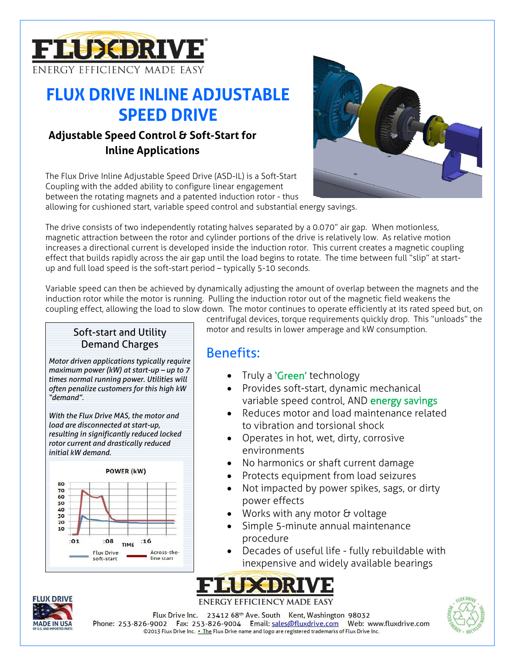

# **FLUX DRIVE INLINE ADJUSTABLE SPEED DRIVE**

### **Adjustable Speed Control & Soft-Start for Inline Applications**

The Flux Drive Inline Adjustable Speed Drive (ASD-IL) is a Soft-Start Coupling with the added ability to configure linear engagement between the rotating magnets and a patented induction rotor - thus



allowing for cushioned start, variable speed control and substantial energy savings.

The drive consists of two independently rotating halves separated by a 0.070" air gap. When motionless, magnetic attraction between the rotor and cylinder portions of the drive is relatively low. As relative motion increases a directional current is developed inside the induction rotor. This current creates a magnetic coupling effect that builds rapidly across the air gap until the load begins to rotate. The time between full "slip" at startup and full load speed is the soft-start period – typically 5-10 seconds.

Variable speed can then be achieved by dynamically adjusting the amount of overlap between the magnets and the induction rotor while the motor is running. Pulling the induction rotor out of the magnetic field weakens the coupling effect, allowing the load to slow down. The motor continues to operate efficiently at its rated speed but, on

#### Soft-start and Utility Demand Charges

*Motor driven applications typically require maximum power (kW) at start-up – up to 7 times normal running power. Utilities will often penalize customers for this high kW "demand".* 

*With the Flux Drive MAS, the motor and load are disconnected at start-up, resulting in significantly reduced locked rotor current and drastically reduced initial kW demand.*



centrifugal devices, torque requirements quickly drop. This "unloads" the motor and results in lower amperage and kW consumption.

# Benefits:

- Truly a 'Green' technology
- Provides soft-start, dynamic mechanical variable speed control, AND energy savings
- Reduces motor and load maintenance related to vibration and torsional shock
- Operates in hot, wet, dirty, corrosive environments
- No harmonics or shaft current damage
- Protects equipment from load seizures
- Not impacted by power spikes, sags, or dirty power effects
- Works with any motor & voltage
- Simple 5-minute annual maintenance procedure
- Decades of useful life fully rebuildable with inexpensive and widely available bearings





Flux Drive Inc. 23412 68<sup>th</sup> Ave. South Kent, Washington 98032 Phone: 253-826-9002 Fax: 253-826-9004 Email: sales@fluxdrive.com Web: www.fluxdrive.com ©2013 Flux Drive Inc. .. The Flux Drive name and logo are registered trademarks of Flux Drive Inc.